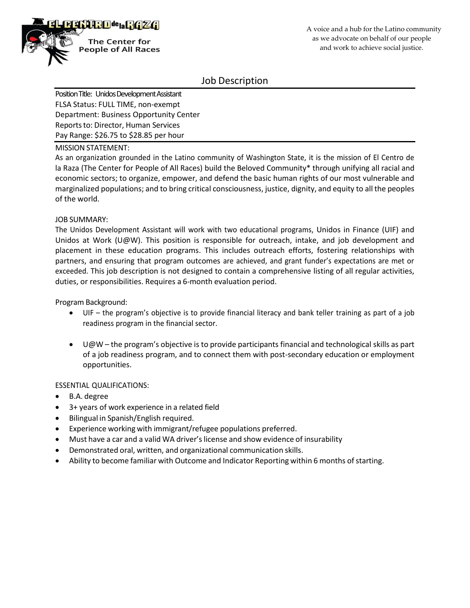

Job Description

Position Title: Unidos Development Assistant FLSA Status: FULL TIME, non-exempt Department: Business Opportunity Center Reports to: Director, Human Services Pay Range: \$26.75 to \$28.85 per hour

MISSION STATEMENT:

As an organization grounded in the Latino community of Washington State, it is the mission of El Centro de la Raza (The Center for People of All Races) build the Beloved Community\* through unifying all racial and economic sectors; to organize, empower, and defend the basic human rights of our most vulnerable and marginalized populations; and to bring critical consciousness, justice, dignity, and equity to all the peoples of the world.

### JOB SUMMARY:

The Unidos Development Assistant will work with two educational programs, Unidos in Finance (UIF) and Unidos at Work (U@W). This position is responsible for outreach, intake, and job development and placement in these education programs. This includes outreach efforts, fostering relationships with partners, and ensuring that program outcomes are achieved, and grant funder's expectations are met or exceeded. This job description is not designed to contain a comprehensive listing of all regular activities, duties, or responsibilities. Requires a 6-month evaluation period.

Program Background:

- UIF the program's objective is to provide financial literacy and bank teller training as part of a job readiness program in the financial sector.
- U@W the program's objective is to provide participants financial and technological skills as part of a job readiness program, and to connect them with post-secondary education or employment opportunities.

## ESSENTIAL QUALIFICATIONS:

- B.A. degree
- 3+ years of work experience in a related field
- Bilingual in Spanish/English required.
- Experience working with immigrant/refugee populations preferred.
- Must have a car and a valid WA driver's license and show evidence of insurability
- Demonstrated oral, written, and organizational communication skills.
- Ability to become familiar with Outcome and Indicator Reporting within 6 months of starting.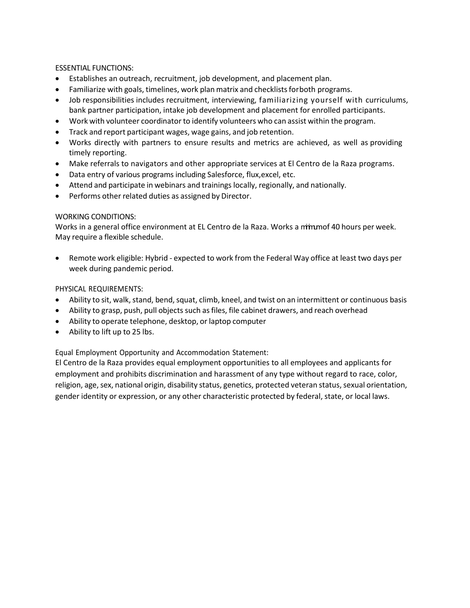ESSENTIAL FUNCTIONS:

- Establishes an outreach, recruitment, job development, and placement plan.
- Familiarize with goals, timelines, work plan matrix and checklists for both programs.
- Job responsibilities includes recruitment, interviewing, familiarizing yourself with curriculums, bank partner participation, intake job development and placement for enrolled participants.
- Work with volunteer coordinator to identify volunteers who can assist within the program.
- Track and report participant wages, wage gains, and job retention.
- Works directly with partners to ensure results and metrics are achieved, as well as providing timely reporting.
- Make referrals to navigators and other appropriate services at El Centro de la Raza programs.
- Data entry of various programs including Salesforce, flux,excel, etc.
- Attend and participate in webinars and trainings locally, regionally, and nationally.
- Performs other related duties as assigned by Director.

## WORKING CONDITIONS:

Works in a general office environment at EL Centro de la Raza. Works a minumof 40 hours per week. May require a flexible schedule.

• Remote work eligible: Hybrid - expected to work from the Federal Way office at least two days per week during pandemic period.

## PHYSICAL REQUIREMENTS:

- Ability to sit, walk, stand, bend, squat, climb, kneel, and twist on an intermittent or continuous basis
- Ability to grasp, push, pull objects such as files, file cabinet drawers, and reach overhead
- Ability to operate telephone, desktop, or laptop computer
- Ability to lift up to 25 lbs.

Equal Employment Opportunity and Accommodation Statement:

El Centro de la Raza provides equal employment opportunities to all employees and applicants for employment and prohibits discrimination and harassment of any type without regard to race, color, religion, age, sex, national origin, disability status, genetics, protected veteran status, sexual orientation, gender identity or expression, or any other characteristic protected by federal, state, or local laws.